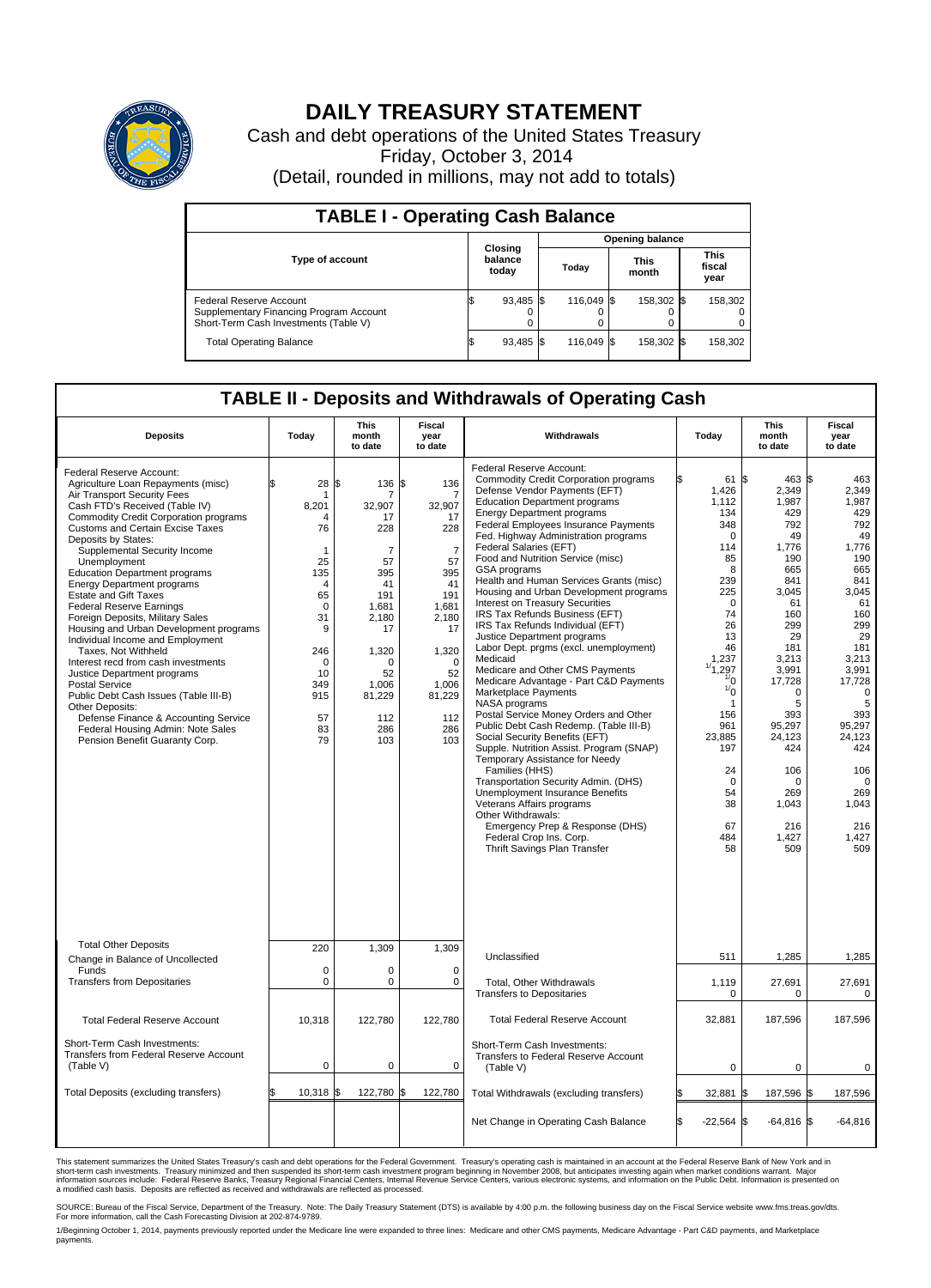

## **DAILY TREASURY STATEMENT**

Cash and debt operations of the United States Treasury Friday, October 3, 2014 (Detail, rounded in millions, may not add to totals)

| <b>TABLE I - Operating Cash Balance</b>                                                                     |    |                             |       |            |  |                      |                               |         |  |  |  |
|-------------------------------------------------------------------------------------------------------------|----|-----------------------------|-------|------------|--|----------------------|-------------------------------|---------|--|--|--|
| <b>Opening balance</b>                                                                                      |    |                             |       |            |  |                      |                               |         |  |  |  |
| <b>Type of account</b>                                                                                      |    | Closing<br>balance<br>today | Today |            |  | <b>This</b><br>month | <b>This</b><br>fiscal<br>year |         |  |  |  |
| Federal Reserve Account<br>Supplementary Financing Program Account<br>Short-Term Cash Investments (Table V) |    | 93,485 \$                   |       | 116.049 \$ |  | 158.302 \$           |                               | 158,302 |  |  |  |
| <b>Total Operating Balance</b>                                                                              | ß. | 93,485 \$                   |       | 116.049 \$ |  | 158,302 \$           |                               | 158,302 |  |  |  |

## **TABLE II - Deposits and Withdrawals of Operating Cash**

| <b>Deposits</b>                                                                                                                                                                                                                                                                                                                                                                                                                                                                                                                                                                                                                                                                                                                                                                                                                                                      | Today                                                                                                                                                                             | <b>This</b><br>month<br>to date                                                                                                                                     | Fiscal<br>year<br>to date                                                                                                                                                              | Withdrawals                                                                                                                                                                                                                                                                                                                                                                                                                                                                                                                                                                                                                                                                                                                                                                                                                                                                                                                                                                                                                                                                                                                                                                                                            | Today                                                                                                                                                                                                                                                                | <b>This</b><br>month<br>to date                                                                                                                                                                                                                        | Fiscal<br>year<br>to date                                                                                                                                                                                                                                        |
|----------------------------------------------------------------------------------------------------------------------------------------------------------------------------------------------------------------------------------------------------------------------------------------------------------------------------------------------------------------------------------------------------------------------------------------------------------------------------------------------------------------------------------------------------------------------------------------------------------------------------------------------------------------------------------------------------------------------------------------------------------------------------------------------------------------------------------------------------------------------|-----------------------------------------------------------------------------------------------------------------------------------------------------------------------------------|---------------------------------------------------------------------------------------------------------------------------------------------------------------------|----------------------------------------------------------------------------------------------------------------------------------------------------------------------------------------|------------------------------------------------------------------------------------------------------------------------------------------------------------------------------------------------------------------------------------------------------------------------------------------------------------------------------------------------------------------------------------------------------------------------------------------------------------------------------------------------------------------------------------------------------------------------------------------------------------------------------------------------------------------------------------------------------------------------------------------------------------------------------------------------------------------------------------------------------------------------------------------------------------------------------------------------------------------------------------------------------------------------------------------------------------------------------------------------------------------------------------------------------------------------------------------------------------------------|----------------------------------------------------------------------------------------------------------------------------------------------------------------------------------------------------------------------------------------------------------------------|--------------------------------------------------------------------------------------------------------------------------------------------------------------------------------------------------------------------------------------------------------|------------------------------------------------------------------------------------------------------------------------------------------------------------------------------------------------------------------------------------------------------------------|
| Federal Reserve Account:<br>Agriculture Loan Repayments (misc)<br>Air Transport Security Fees<br>Cash FTD's Received (Table IV)<br><b>Commodity Credit Corporation programs</b><br><b>Customs and Certain Excise Taxes</b><br>Deposits by States:<br>Supplemental Security Income<br>Unemployment<br><b>Education Department programs</b><br><b>Energy Department programs</b><br><b>Estate and Gift Taxes</b><br><b>Federal Reserve Earnings</b><br>Foreign Deposits, Military Sales<br>Housing and Urban Development programs<br>Individual Income and Employment<br>Taxes. Not Withheld<br>Interest recd from cash investments<br>Justice Department programs<br><b>Postal Service</b><br>Public Debt Cash Issues (Table III-B)<br>Other Deposits:<br>Defense Finance & Accounting Service<br>Federal Housing Admin: Note Sales<br>Pension Benefit Guaranty Corp. | \$<br>28<br>8.201<br>$\boldsymbol{\Lambda}$<br>76<br>1<br>25<br>135<br>$\overline{4}$<br>65<br>$\mathbf 0$<br>31<br>9<br>246<br>$\mathbf 0$<br>10<br>349<br>915<br>57<br>83<br>79 | \$<br>136 \$<br>32.907<br>17<br>228<br>$\overline{7}$<br>57<br>395<br>41<br>191<br>1,681<br>2,180<br>17<br>1,320<br>0<br>52<br>1.006<br>81,229<br>112<br>286<br>103 | 136<br>$\overline{7}$<br>32.907<br>17<br>228<br>$\overline{7}$<br>57<br>395<br>41<br>191<br>1,681<br>2,180<br>17<br>1,320<br>$\mathbf 0$<br>52<br>1,006<br>81,229<br>112<br>286<br>103 | Federal Reserve Account:<br><b>Commodity Credit Corporation programs</b><br>Defense Vendor Payments (EFT)<br><b>Education Department programs</b><br><b>Energy Department programs</b><br><b>Federal Employees Insurance Payments</b><br>Fed. Highway Administration programs<br>Federal Salaries (EFT)<br>Food and Nutrition Service (misc)<br>GSA programs<br>Health and Human Services Grants (misc)<br>Housing and Urban Development programs<br>Interest on Treasury Securities<br>IRS Tax Refunds Business (EFT)<br>IRS Tax Refunds Individual (EFT)<br>Justice Department programs<br>Labor Dept. prgms (excl. unemployment)<br>Medicaid<br>Medicare and Other CMS Payments<br>Medicare Advantage - Part C&D Payments<br>Marketplace Payments<br>NASA programs<br>Postal Service Money Orders and Other<br>Public Debt Cash Redemp. (Table III-B)<br>Social Security Benefits (EFT)<br>Supple. Nutrition Assist. Program (SNAP)<br>Temporary Assistance for Needy<br>Families (HHS)<br>Transportation Security Admin. (DHS)<br>Unemployment Insurance Benefits<br>Veterans Affairs programs<br>Other Withdrawals:<br>Emergency Prep & Response (DHS)<br>Federal Crop Ins. Corp.<br>Thrift Savings Plan Transfer | 61<br>1,426<br>1,112<br>134<br>348<br>0<br>114<br>85<br>8<br>239<br>225<br>$\mathbf 0$<br>74<br>26<br>13<br>46<br>1,237<br>,297<br>$\frac{1}{0}$<br>$\frac{1}{0}$<br>$\mathbf{1}$<br>156<br>961<br>23,885<br>197<br>24<br>$\mathbf 0$<br>54<br>38<br>67<br>484<br>58 | 463 \$<br>1\$<br>2,349<br>1,987<br>429<br>792<br>49<br>1,776<br>190<br>665<br>841<br>3,045<br>61<br>160<br>299<br>29<br>181<br>3,213<br>3,991<br>17,728<br>0<br>5<br>393<br>95,297<br>24,123<br>424<br>106<br>0<br>269<br>1,043<br>216<br>1,427<br>509 | 463<br>2,349<br>1,987<br>429<br>792<br>49<br>1,776<br>190<br>665<br>841<br>3,045<br>61<br>160<br>299<br>29<br>181<br>3,213<br>3,991<br>17,728<br>$\mathbf 0$<br>5<br>393<br>95,297<br>24,123<br>424<br>106<br>$\mathbf 0$<br>269<br>1.043<br>216<br>1,427<br>509 |
| <b>Total Other Deposits</b><br>Change in Balance of Uncollected                                                                                                                                                                                                                                                                                                                                                                                                                                                                                                                                                                                                                                                                                                                                                                                                      | 220                                                                                                                                                                               | 1,309                                                                                                                                                               | 1,309                                                                                                                                                                                  | Unclassified                                                                                                                                                                                                                                                                                                                                                                                                                                                                                                                                                                                                                                                                                                                                                                                                                                                                                                                                                                                                                                                                                                                                                                                                           | 511                                                                                                                                                                                                                                                                  | 1,285                                                                                                                                                                                                                                                  | 1,285                                                                                                                                                                                                                                                            |
| Funds<br><b>Transfers from Depositaries</b>                                                                                                                                                                                                                                                                                                                                                                                                                                                                                                                                                                                                                                                                                                                                                                                                                          | $\mathbf 0$<br>$\mathbf 0$                                                                                                                                                        | 0<br>0                                                                                                                                                              | 0<br>$\mathbf 0$                                                                                                                                                                       | Total, Other Withdrawals<br><b>Transfers to Depositaries</b>                                                                                                                                                                                                                                                                                                                                                                                                                                                                                                                                                                                                                                                                                                                                                                                                                                                                                                                                                                                                                                                                                                                                                           | 1,119<br>$\Omega$                                                                                                                                                                                                                                                    | 27,691<br>$\Omega$                                                                                                                                                                                                                                     | 27,691<br>$\Omega$                                                                                                                                                                                                                                               |
| <b>Total Federal Reserve Account</b>                                                                                                                                                                                                                                                                                                                                                                                                                                                                                                                                                                                                                                                                                                                                                                                                                                 | 10,318                                                                                                                                                                            | 122,780                                                                                                                                                             | 122,780                                                                                                                                                                                | <b>Total Federal Reserve Account</b>                                                                                                                                                                                                                                                                                                                                                                                                                                                                                                                                                                                                                                                                                                                                                                                                                                                                                                                                                                                                                                                                                                                                                                                   | 32,881                                                                                                                                                                                                                                                               | 187,596                                                                                                                                                                                                                                                | 187,596                                                                                                                                                                                                                                                          |
| Short-Term Cash Investments:<br>Transfers from Federal Reserve Account<br>(Table V)                                                                                                                                                                                                                                                                                                                                                                                                                                                                                                                                                                                                                                                                                                                                                                                  | $\mathbf 0$                                                                                                                                                                       | $\mathbf 0$                                                                                                                                                         | $\mathbf 0$                                                                                                                                                                            | Short-Term Cash Investments:<br><b>Transfers to Federal Reserve Account</b><br>(Table V)                                                                                                                                                                                                                                                                                                                                                                                                                                                                                                                                                                                                                                                                                                                                                                                                                                                                                                                                                                                                                                                                                                                               | $\mathbf 0$                                                                                                                                                                                                                                                          | $\Omega$                                                                                                                                                                                                                                               | 0                                                                                                                                                                                                                                                                |
| Total Deposits (excluding transfers)                                                                                                                                                                                                                                                                                                                                                                                                                                                                                                                                                                                                                                                                                                                                                                                                                                 | $10,318$ \$<br>\$                                                                                                                                                                 | 122,780 \$                                                                                                                                                          | 122,780                                                                                                                                                                                | Total Withdrawals (excluding transfers)                                                                                                                                                                                                                                                                                                                                                                                                                                                                                                                                                                                                                                                                                                                                                                                                                                                                                                                                                                                                                                                                                                                                                                                | 32,881                                                                                                                                                                                                                                                               | 187,596 \$<br>1\$                                                                                                                                                                                                                                      | 187,596                                                                                                                                                                                                                                                          |
|                                                                                                                                                                                                                                                                                                                                                                                                                                                                                                                                                                                                                                                                                                                                                                                                                                                                      |                                                                                                                                                                                   |                                                                                                                                                                     |                                                                                                                                                                                        | Net Change in Operating Cash Balance                                                                                                                                                                                                                                                                                                                                                                                                                                                                                                                                                                                                                                                                                                                                                                                                                                                                                                                                                                                                                                                                                                                                                                                   | l\$<br>$-22,564$ \$                                                                                                                                                                                                                                                  | $-64,816$ \$                                                                                                                                                                                                                                           | $-64,816$                                                                                                                                                                                                                                                        |

This statement summarizes the United States Treasury's cash and debt operations for the Federal Government. Treasury's operating cash is maintained in an account at the Federal Reserve Bank of New York and in<br>short-term ca

SOURCE: Bureau of the Fiscal Service, Department of the Treasury. Note: The Daily Treasury Statement (DTS) is available by 4:00 p.m. the following business day on the Fiscal Service website www.fms.treas.gov/dts.<br>For more

1/Beginning October 1, 2014, payments previously reported under the Medicare line were expanded to three lines: Medicare and other CMS payments, Medicare Advantage - Part C&D payments, and Marketplace payments.